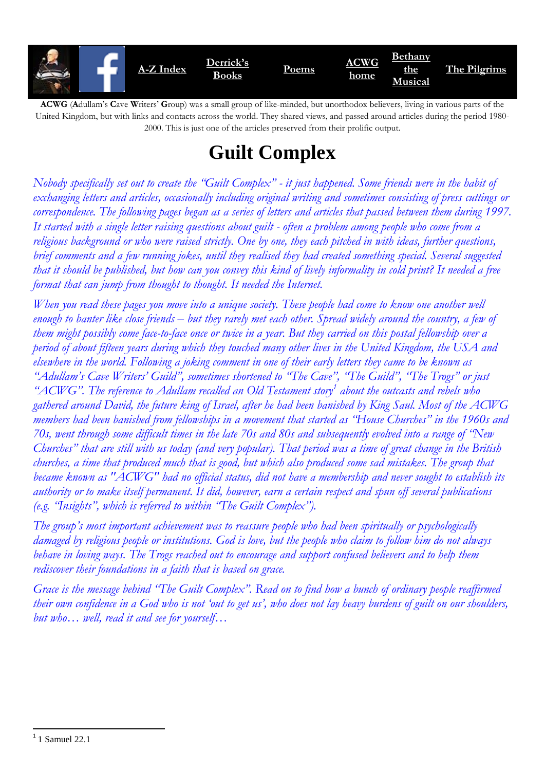

**ACWG** (**A**dullam's **C**ave **W**riters' **G**roup) was a small group of like-minded, but unorthodox believers, living in various parts of the United Kingdom, but with links and contacts across the world. They shared views, and passed around articles during the period 1980- 2000. This is just one of the articles preserved from their prolific output.

# **Guilt Complex**

*Nobody specifically set out to create the "Guilt Complex" - it just happened. Some friends were in the habit of exchanging letters and articles, occasionally including original writing and sometimes consisting of press cuttings or correspondence. The following pages began as a series of letters and articles that passed between them during 1997. It started with a single letter raising questions about guilt - often a problem among people who come from a religious background or who were raised strictly. One by one, they each pitched in with ideas, further questions, brief comments and a few running jokes, until they realised they had created something special. Several suggested that it should be published, but how can you convey this kind of lively informality in cold print? It needed a free format that can jump from thought to thought. It needed the Internet.*

*When you read these pages you move into a unique society. These people had come to know one another well enough to banter like close friends – but they rarely met each other. Spread widely around the country, a few of them might possibly come face-to-face once or twice in a year. But they carried on this postal fellowship over a period of about fifteen years during which they touched many other lives in the United Kingdom, the USA and elsewhere in the world. Following a joking comment in one of their early letters they came to be known as "Adullam's Cave Writers' Guild", sometimes shortened to "The Cave", "The Guild", "The Trogs" or just "ACWG". The reference to Adullam recalled an Old Testament story<sup>1</sup> about the outcasts and rebels who gathered around David, the future king of Israel, after he had been banished by King Saul. Most of the ACWG members had been banished from fellowships in a movement that started as "House Churches" in the 1960s and 70s, went through some difficult times in the late 70s and 80s and subsequently evolved into a range of "New Churches" that are still with us today (and very popular). That period was a time of great change in the British churches, a time that produced much that is good, but which also produced some sad mistakes. The group that became known as "ACWG" had no official status, did not have a membership and never sought to establish its authority or to make itself permanent. It did, however, earn a certain respect and spun off several publications (e.g. "Insights", which is referred to within "The Guilt Complex").*

*The group's most important achievement was to reassure people who had been spiritually or psychologically damaged by religious people or institutions. God is love, but the people who claim to follow him do not always behave in loving ways. The Trogs reached out to encourage and support confused believers and to help them rediscover their foundations in a faith that is based on grace.*

*Grace is the message behind "The Guilt Complex". Read on to find how a bunch of ordinary people reaffirmed their own confidence in a God who is not 'out to get us', who does not lay heavy burdens of guilt on our shoulders, but who… well, read it and see for yourself…*

1

 $1$  Samuel 22.1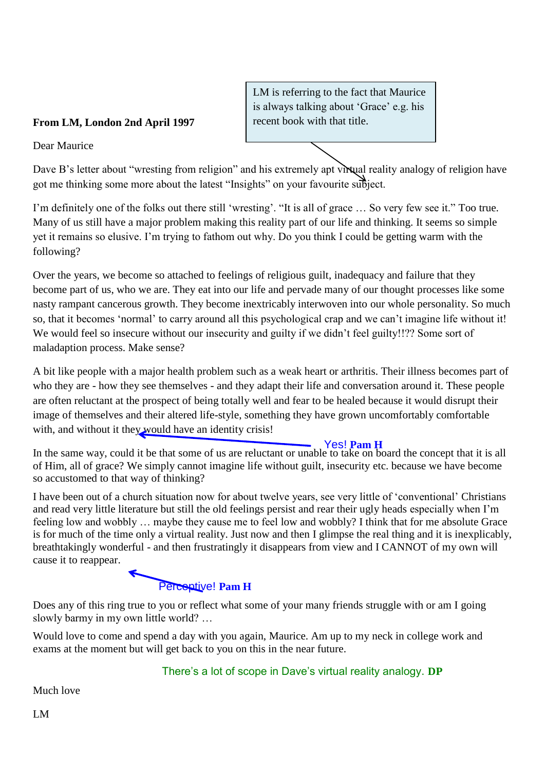#### **From LM, London 2nd April 1997**

Dear Maurice

Dave B's letter about "wresting from religion" and his extremely apt virtual reality analogy of religion have got me thinking some more about the latest "Insights" on your favourite subject.

LM is referring to the fact that Maurice is always talking about 'Grace' e.g. his

recent book with that title.

I'm definitely one of the folks out there still 'wresting'. "It is all of grace … So very few see it." Too true. Many of us still have a major problem making this reality part of our life and thinking. It seems so simple yet it remains so elusive. I'm trying to fathom out why. Do you think I could be getting warm with the following?

Over the years, we become so attached to feelings of religious guilt, inadequacy and failure that they become part of us, who we are. They eat into our life and pervade many of our thought processes like some nasty rampant cancerous growth. They become inextricably interwoven into our whole personality. So much so, that it becomes 'normal' to carry around all this psychological crap and we can't imagine life without it! We would feel so insecure without our insecurity and guilty if we didn't feel guilty!!?? Some sort of maladaption process. Make sense?

A bit like people with a major health problem such as a weak heart or arthritis. Their illness becomes part of who they are - how they see themselves - and they adapt their life and conversation around it. These people are often reluctant at the prospect of being totally well and fear to be healed because it would disrupt their image of themselves and their altered life-style, something they have grown uncomfortably comfortable with, and without it they would have an identity crisis!

In the same way, could it be that some of us are reluctant or unable to take on board the concept that it is all of Him, all of grace? We simply cannot imagine life without guilt, insecurity etc. because we have become so accustomed to that way of thinking? Yes! **Pam H**

I have been out of a church situation now for about twelve years, see very little of 'conventional' Christians and read very little literature but still the old feelings persist and rear their ugly heads especially when I'm feeling low and wobbly … maybe they cause me to feel low and wobbly? I think that for me absolute Grace is for much of the time only a virtual reality. Just now and then I glimpse the real thing and it is inexplicably, breathtakingly wonderful - and then frustratingly it disappears from view and I CANNOT of my own will cause it to reappear.

## Perceptive! **Pam H**

Does any of this ring true to you or reflect what some of your many friends struggle with or am I going slowly barmy in my own little world? …

Would love to come and spend a day with you again, Maurice. Am up to my neck in college work and exams at the moment but will get back to you on this in the near future.

There's a lot of scope in Dave's virtual reality analogy. **DP**

Much love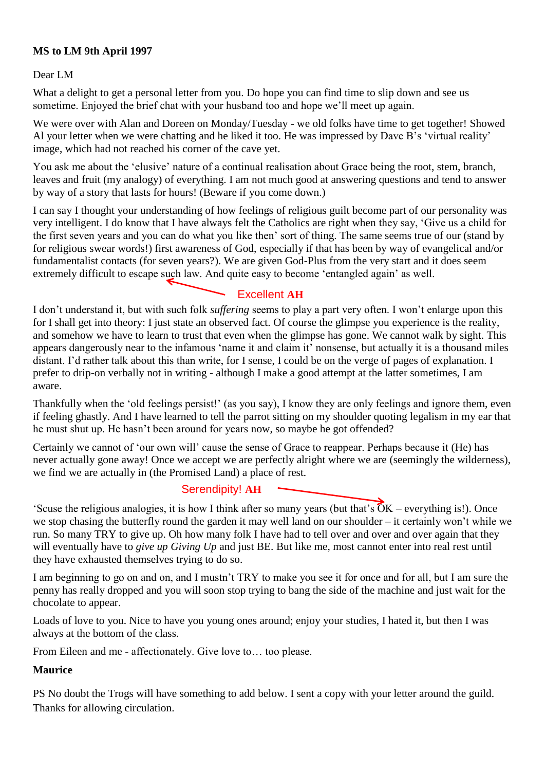#### **MS to LM 9th April 1997**

Dear LM

What a delight to get a personal letter from you. Do hope you can find time to slip down and see us sometime. Enjoyed the brief chat with your husband too and hope we'll meet up again.

We were over with Alan and Doreen on Monday/Tuesday - we old folks have time to get together! Showed Al your letter when we were chatting and he liked it too. He was impressed by Dave B's 'virtual reality' image, which had not reached his corner of the cave yet.

You ask me about the 'elusive' nature of a continual realisation about Grace being the root, stem, branch, leaves and fruit (my analogy) of everything. I am not much good at answering questions and tend to answer by way of a story that lasts for hours! (Beware if you come down.)

I can say I thought your understanding of how feelings of religious guilt become part of our personality was very intelligent. I do know that I have always felt the Catholics are right when they say, 'Give us a child for the first seven years and you can do what you like then' sort of thing. The same seems true of our (stand by for religious swear words!) first awareness of God, especially if that has been by way of evangelical and/or fundamentalist contacts (for seven years?). We are given God-Plus from the very start and it does seem extremely difficult to escape such law. And quite easy to become 'entangled again' as well.

### Excellent **AH**

I don't understand it, but with such folk *suffering* seems to play a part very often. I won't enlarge upon this for I shall get into theory: I just state an observed fact. Of course the glimpse you experience is the reality, and somehow we have to learn to trust that even when the glimpse has gone. We cannot walk by sight. This appears dangerously near to the infamous 'name it and claim it' nonsense, but actually it is a thousand miles distant. I'd rather talk about this than write, for I sense, I could be on the verge of pages of explanation. I prefer to drip-on verbally not in writing - although I make a good attempt at the latter sometimes, I am aware.

Thankfully when the 'old feelings persist!' (as you say), I know they are only feelings and ignore them, even if feeling ghastly. And I have learned to tell the parrot sitting on my shoulder quoting legalism in my ear that he must shut up. He hasn't been around for years now, so maybe he got offended?

Certainly we cannot of 'our own will' cause the sense of Grace to reappear. Perhaps because it (He) has never actually gone away! Once we accept we are perfectly alright where we are (seemingly the wilderness), we find we are actually in (the Promised Land) a place of rest.

#### Serendipity! **AH**

'Scuse the religious analogies, it is how I think after so many years (but that's  $\overline{OK}$  – everything is!). Once we stop chasing the butterfly round the garden it may well land on our shoulder – it certainly won't while we run. So many TRY to give up. Oh how many folk I have had to tell over and over and over again that they will eventually have to *give up Giving Up* and just BE. But like me, most cannot enter into real rest until they have exhausted themselves trying to do so.

I am beginning to go on and on, and I mustn't TRY to make you see it for once and for all, but I am sure the penny has really dropped and you will soon stop trying to bang the side of the machine and just wait for the chocolate to appear.

Loads of love to you. Nice to have you young ones around; enjoy your studies, I hated it, but then I was always at the bottom of the class.

From Eileen and me - affectionately. Give love to… too please.

#### **Maurice**

PS No doubt the Trogs will have something to add below. I sent a copy with your letter around the guild. Thanks for allowing circulation.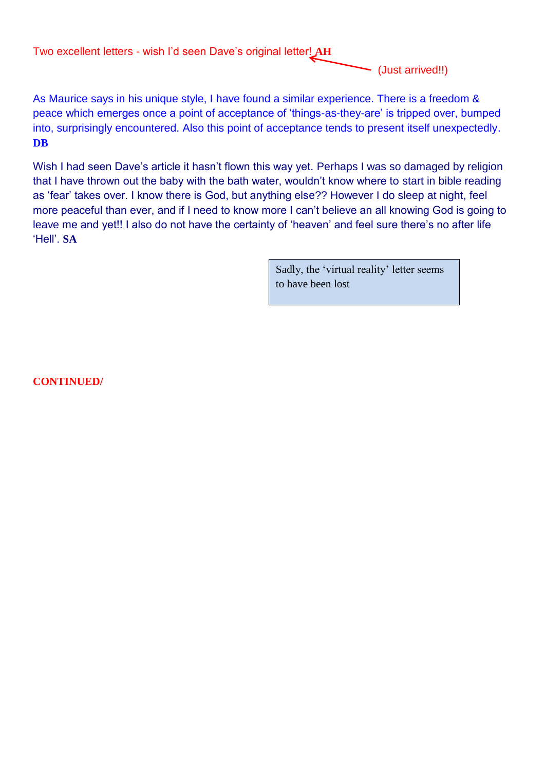Two excellent letters - wish I'd seen Dave's original letter! **AH**

(Just arrived!!)

As Maurice says in his unique style, I have found a similar experience. There is a freedom & peace which emerges once a point of acceptance of 'things-as-they-are' is tripped over, bumped into, surprisingly encountered. Also this point of acceptance tends to present itself unexpectedly. **DB**

Wish I had seen Dave's article it hasn't flown this way yet. Perhaps I was so damaged by religion that I have thrown out the baby with the bath water, wouldn't know where to start in bible reading as 'fear' takes over. I know there is God, but anything else?? However I do sleep at night, feel more peaceful than ever, and if I need to know more I can't believe an all knowing God is going to leave me and yet!! I also do not have the certainty of 'heaven' and feel sure there's no after life 'Hell'. **SA**

> Sadly, the 'virtual reality' letter seems to have been lost

**CONTINUED/**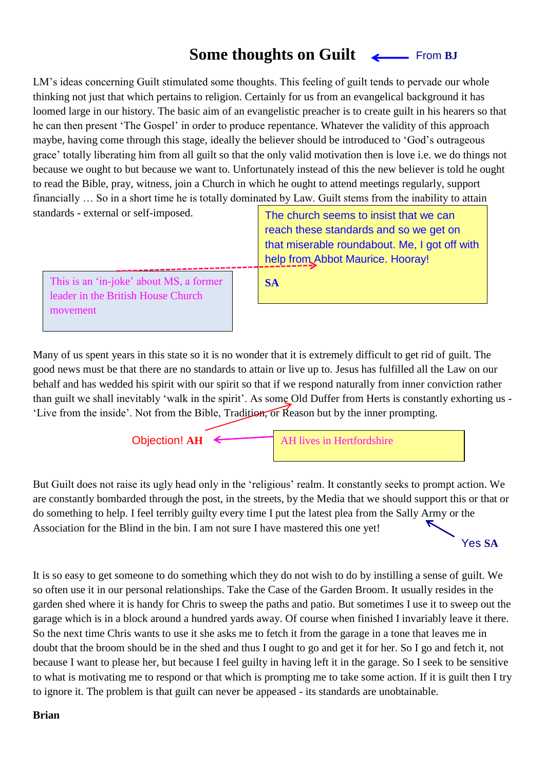#### **Some thoughts on Guilt** From **BJ**

LM's ideas concerning Guilt stimulated some thoughts. This feeling of guilt tends to pervade our whole thinking not just that which pertains to religion. Certainly for us from an evangelical background it has loomed large in our history. The basic aim of an evangelistic preacher is to create guilt in his hearers so that he can then present 'The Gospel' in order to produce repentance. Whatever the validity of this approach maybe, having come through this stage, ideally the believer should be introduced to 'God's outrageous grace' totally liberating him from all guilt so that the only valid motivation then is love i.e. we do things not because we ought to but because we want to. Unfortunately instead of this the new believer is told he ought to read the Bible, pray, witness, join a Church in which he ought to attend meetings regularly, support financially … So in a short time he is totally dominated by Law. Guilt stems from the inability to attain

| standards - external or self-imposed.                                                     | The church seems to insist that we can<br>reach these standards and so we get on<br>that miserable roundabout. Me, I got off with<br>help from Abbot Maurice. Hooray! |
|-------------------------------------------------------------------------------------------|-----------------------------------------------------------------------------------------------------------------------------------------------------------------------|
| This is an 'in-joke' about MS, a former<br>leader in the British House Church<br>movement | <b>SA</b>                                                                                                                                                             |

Many of us spent years in this state so it is no wonder that it is extremely difficult to get rid of guilt. The good news must be that there are no standards to attain or live up to. Jesus has fulfilled all the Law on our behalf and has wedded his spirit with our spirit so that if we respond naturally from inner conviction rather than guilt we shall inevitably 'walk in the spirit'. As some Old Duffer from Herts is constantly exhorting us - 'Live from the inside'. Not from the Bible, Tradition, or Reason but by the inner prompting.



Objection! **AH**  $\leftarrow$  **AH** lives in Hertfordshire

But Guilt does not raise its ugly head only in the 'religious' realm. It constantly seeks to prompt action. We are constantly bombarded through the post, in the streets, by the Media that we should support this or that or do something to help. I feel terribly guilty every time I put the latest plea from the Sally Army or the Association for the Blind in the bin. I am not sure I have mastered this one yet!

Yes **SA**

It is so easy to get someone to do something which they do not wish to do by instilling a sense of guilt. We so often use it in our personal relationships. Take the Case of the Garden Broom. It usually resides in the garden shed where it is handy for Chris to sweep the paths and patio. But sometimes I use it to sweep out the garage which is in a block around a hundred yards away. Of course when finished I invariably leave it there. So the next time Chris wants to use it she asks me to fetch it from the garage in a tone that leaves me in doubt that the broom should be in the shed and thus I ought to go and get it for her. So I go and fetch it, not because I want to please her, but because I feel guilty in having left it in the garage. So I seek to be sensitive to what is motivating me to respond or that which is prompting me to take some action. If it is guilt then I try to ignore it. The problem is that guilt can never be appeased - its standards are unobtainable.

#### **Brian**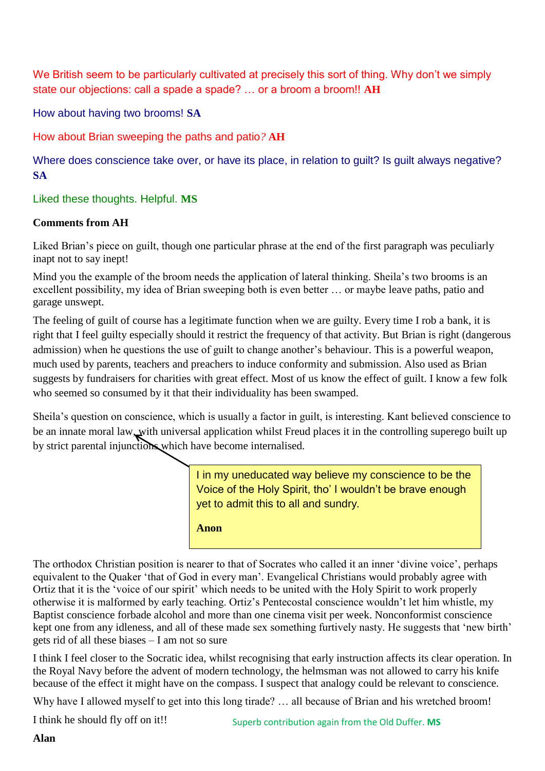We British seem to be particularly cultivated at precisely this sort of thing. Why don't we simply state our objections: call a spade a spade? … or a broom a broom!! **AH**

How about having two brooms! **SA**

How about Brian sweeping the paths and patio*?* **AH**

Where does conscience take over, or have its place, in relation to quilt? Is quilt always negative? **SA**

#### Liked these thoughts. Helpful. **MS**

#### **Comments from AH**

Liked Brian's piece on guilt, though one particular phrase at the end of the first paragraph was peculiarly inapt not to say inept!

Mind you the example of the broom needs the application of lateral thinking. Sheila's two brooms is an excellent possibility, my idea of Brian sweeping both is even better … or maybe leave paths, patio and garage unswept.

The feeling of guilt of course has a legitimate function when we are guilty. Every time I rob a bank, it is right that I feel guilty especially should it restrict the frequency of that activity. But Brian is right (dangerous admission) when he questions the use of guilt to change another's behaviour. This is a powerful weapon, much used by parents, teachers and preachers to induce conformity and submission. Also used as Brian suggests by fundraisers for charities with great effect. Most of us know the effect of guilt. I know a few folk who seemed so consumed by it that their individuality has been swamped.

Sheila's question on conscience, which is usually a factor in guilt, is interesting. Kant believed conscience to be an innate moral law, with universal application whilst Freud places it in the controlling superego built up by strict parental injunctions which have become internalised.

> I in my uneducated way believe my conscience to be the Voice of the Holy Spirit, tho' I wouldn't be brave enough yet to admit this to all and sundry*.*

**Anon**

The orthodox Christian position is nearer to that of Socrates who called it an inner 'divine voice', perhaps equivalent to the Quaker 'that of God in every man'. Evangelical Christians would probably agree with Ortiz that it is the 'voice of our spirit' which needs to be united with the Holy Spirit to work properly otherwise it is malformed by early teaching. Ortiz's Pentecostal conscience wouldn't let him whistle, my Baptist conscience forbade alcohol and more than one cinema visit per week. Nonconformist conscience kept one from any idleness, and all of these made sex something furtively nasty. He suggests that 'new birth' gets rid of all these biases – I am not so sure

I think I feel closer to the Socratic idea, whilst recognising that early instruction affects its clear operation. In the Royal Navy before the advent of modern technology, the helmsman was not allowed to carry his knife because of the effect it might have on the compass. I suspect that analogy could be relevant to conscience.

Why have I allowed myself to get into this long tirade? ... all because of Brian and his wretched broom!

I think he should fly off on it!!

**Alan**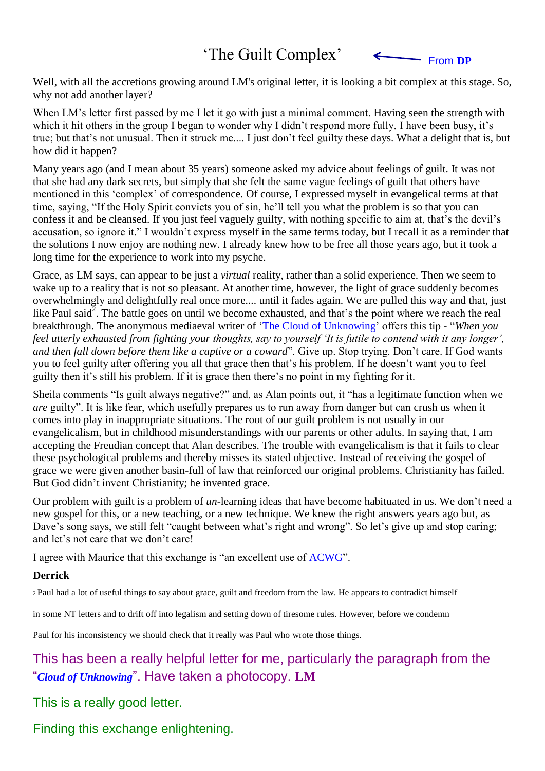## 'The Guilt Complex'

From **DP**

 $\leftarrow$ 

Well, with all the accretions growing around LM's original letter, it is looking a bit complex at this stage. So, why not add another layer?

When LM's letter first passed by me I let it go with just a minimal comment. Having seen the strength with which it hit others in the group I began to wonder why I didn't respond more fully. I have been busy, it's true; but that's not unusual. Then it struck me.... I just don't feel guilty these days. What a delight that is, but how did it happen?

Many years ago (and I mean about 35 years) someone asked my advice about feelings of guilt. It was not that she had any dark secrets, but simply that she felt the same vague feelings of guilt that others have mentioned in this 'complex' of correspondence. Of course, I expressed myself in evangelical terms at that time, saying, "If the Holy Spirit convicts you of sin, he'll tell you what the problem is so that you can confess it and be cleansed. If you just feel vaguely guilty, with nothing specific to aim at, that's the devil's accusation, so ignore it." I wouldn't express myself in the same terms today, but I recall it as a reminder that the solutions I now enjoy are nothing new. I already knew how to be free all those years ago, but it took a long time for the experience to work into my psyche.

Grace, as LM says, can appear to be just a *virtual* reality, rather than a solid experience. Then we seem to wake up to a reality that is not so pleasant. At another time, however, the light of grace suddenly becomes overwhelmingly and delightfully real once more.... until it fades again. We are pulled this way and that, just like Paul said<sup>2</sup>. The battle goes on until we become exhausted, and that's the point where we reach the real breakthrough. The anonymous mediaeval writer of 'The Cloud of Unknowing' offers this tip - "*When you feel utterly exhausted from fighting your thoughts, say to yourself 'It is futile to contend with it any longer', and then fall down before them like a captive or a coward*". Give up. Stop trying. Don't care. If God wants you to feel guilty after offering you all that grace then that's his problem. If he doesn't want you to feel guilty then it's still his problem. If it is grace then there's no point in my fighting for it.

Sheila comments "Is guilt always negative?" and, as Alan points out, it "has a legitimate function when we *are* guilty". It is like fear, which usefully prepares us to run away from danger but can crush us when it comes into play in inappropriate situations. The root of our guilt problem is not usually in our evangelicalism, but in childhood misunderstandings with our parents or other adults. In saying that, I am accepting the Freudian concept that Alan describes. The trouble with evangelicalism is that it fails to clear these psychological problems and thereby misses its stated objective. Instead of receiving the gospel of grace we were given another basin-full of law that reinforced our original problems. Christianity has failed. But God didn't invent Christianity; he invented grace.

Our problem with guilt is a problem of *un*-learning ideas that have become habituated in us. We don't need a new gospel for this, or a new teaching, or a new technique. We knew the right answers years ago but, as Dave's song says, we still felt "caught between what's right and wrong". So let's give up and stop caring; and let's not care that we don't care!

I agree with Maurice that this exchange is "an excellent use of ACWG".

#### **Derrick**

<sup>2</sup>Paul had a lot of useful things to say about grace, guilt and freedom from the law. He appears to contradict himself

in some NT letters and to drift off into legalism and setting down of tiresome rules. However, before we condemn

Paul for his inconsistency we should check that it really was Paul who wrote those things.

### This has been a really helpful letter for me, particularly the paragraph from the "*Cloud of Unknowing*". Have taken a photocopy. **LM**

This is a really good letter.

Finding this exchange enlightening.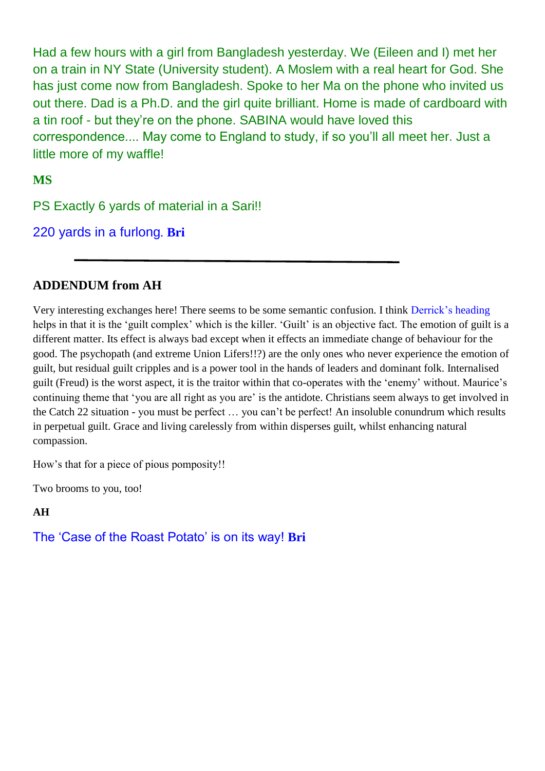Had a few hours with a girl from Bangladesh yesterday. We (Eileen and I) met her on a train in NY State (University student). A Moslem with a real heart for God. She has just come now from Bangladesh. Spoke to her Ma on the phone who invited us out there. Dad is a Ph.D. and the girl quite brilliant. Home is made of cardboard with a tin roof - but they're on the phone. SABINA would have loved this correspondence.... May come to England to study, if so you'll all meet her. Just a little more of my waffle!

**MS**

PS Exactly 6 yards of material in a Sari!!

220 yards in a furlong*.* **Bri**

### **ADDENDUM from AH**

Very interesting exchanges here! There seems to be some semantic confusion. I think Derrick's heading helps in that it is the 'guilt complex' which is the killer. 'Guilt' is an objective fact. The emotion of guilt is a different matter. Its effect is always bad except when it effects an immediate change of behaviour for the good. The psychopath (and extreme Union Lifers!!?) are the only ones who never experience the emotion of guilt, but residual guilt cripples and is a power tool in the hands of leaders and dominant folk. Internalised guilt (Freud) is the worst aspect, it is the traitor within that co-operates with the 'enemy' without. Maurice's continuing theme that 'you are all right as you are' is the antidote. Christians seem always to get involved in the Catch 22 situation - you must be perfect … you can't be perfect! An insoluble conundrum which results in perpetual guilt. Grace and living carelessly from within disperses guilt, whilst enhancing natural compassion.

How's that for a piece of pious pomposity!!

Two brooms to you, too!

**AH**

The 'Case of the Roast Potato' is on its way! **Bri**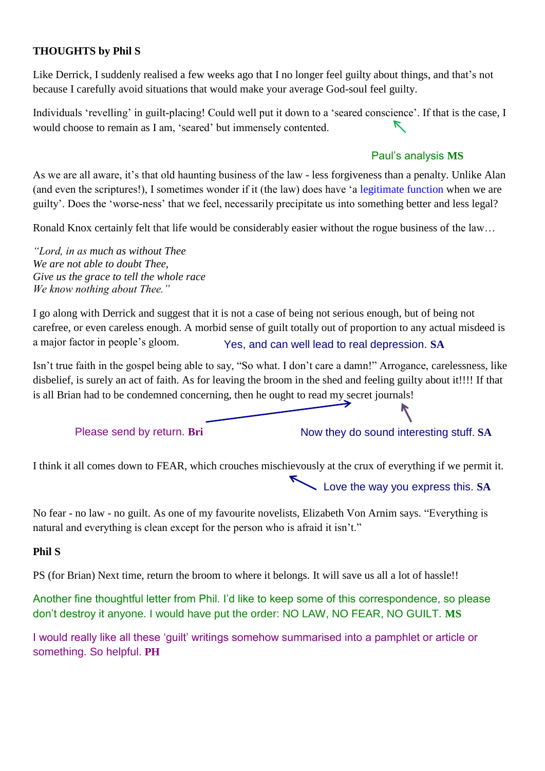#### **THOUGHTS by Phil S**

Like Derrick, I suddenly realised a few weeks ago that I no longer feel guilty about things, and that's not because I carefully avoid situations that would make your average God-soul feel guilty.

Individuals 'revelling' in guilt-placing! Could well put it down to a 'seared conscience'. If that is the case, I  $\triangledown$ would choose to remain as I am, 'seared' but immensely contented.

#### Paul's analysis **MS**

As we are all aware, it's that old haunting business of the law - less forgiveness than a penalty. Unlike Alan (and even the scriptures!), I sometimes wonder if it (the law) does have 'a legitimate function when we are guilty'. Does the 'worse-ness' that we feel, necessarily precipitate us into something better and less legal?

Ronald Knox certainly felt that life would be considerably easier without the rogue business of the law…

*"Lord, in as much as without Thee We are not able to doubt Thee, Give us the grace to tell the whole race We know nothing about Thee."*

I go along with Derrick and suggest that it is not a case of being not serious enough, but of being not carefree, or even careless enough. A morbid sense of guilt totally out of proportion to any actual misdeed is a major factor in people's gloom. Yes, and can well lead to real depression. **SA**

Isn't true faith in the gospel being able to say, "So what. I don't care a damn!" Arrogance, carelessness, like disbelief, is surely an act of faith. As for leaving the broom in the shed and feeling guilty about it!!!! If that is all Brian had to be condemned concerning, then he ought to read my secret journals!

Please send by return. Bri Now they do sound interesting stuff. SA

I think it all comes down to FEAR, which crouches mischievously at the crux of everything if we permit it.

Love the way you express this. **SA**

No fear - no law - no guilt. As one of my favourite novelists, Elizabeth Von Arnim says. "Everything is natural and everything is clean except for the person who is afraid it isn't."

#### **Phil S**

PS (for Brian) Next time, return the broom to where it belongs. It will save us all a lot of hassle!!

Another fine thoughtful letter from Phil. I'd like to keep some of this correspondence, so please don't destroy it anyone. I would have put the order: NO LAW, NO FEAR, NO GUILT. **MS**

I would really like all these 'guilt' writings somehow summarised into a pamphlet or article or something. So helpful. **PH**